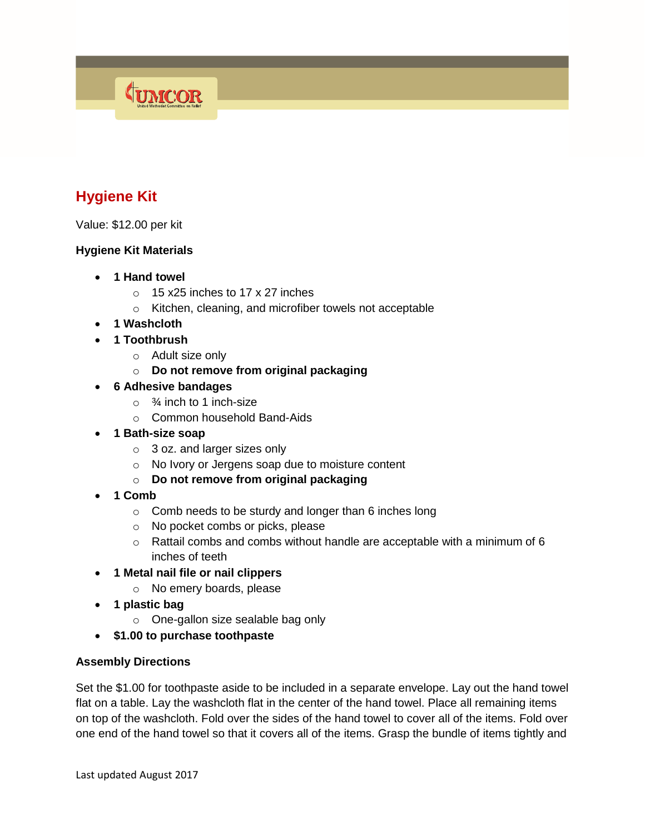# **Hygiene Kit**

Value: \$12.00 per kit

### **Hygiene Kit Materials**

**1 Hand towel**

**CUMCOR** 

- o 15 x25 inches to 17 x 27 inches
- o Kitchen, cleaning, and microfiber towels not acceptable
- **1 Washcloth**
- **1 Toothbrush**
	- o Adult size only
	- o **Do not remove from original packaging**
- **6 Adhesive bandages**
	- $\circ$   $\frac{3}{4}$  inch to 1 inch-size
	- o Common household Band-Aids
- **1 Bath-size soap**
	- $\circ$  3 oz. and larger sizes only
	- o No Ivory or Jergens soap due to moisture content
	- o **Do not remove from original packaging**
- **1 Comb**
	- $\circ$  Comb needs to be sturdy and longer than 6 inches long
	- o No pocket combs or picks, please
	- $\circ$  Rattail combs and combs without handle are acceptable with a minimum of 6 inches of teeth
- **1 Metal nail file or nail clippers**
	- o No emery boards, please
- **1 plastic bag**
	- o One-gallon size sealable bag only
- **\$1.00 to purchase toothpaste**

#### **Assembly Directions**

Set the \$1.00 for toothpaste aside to be included in a separate envelope. Lay out the hand towel flat on a table. Lay the washcloth flat in the center of the hand towel. Place all remaining items on top of the washcloth. Fold over the sides of the hand towel to cover all of the items. Fold over one end of the hand towel so that it covers all of the items. Grasp the bundle of items tightly and